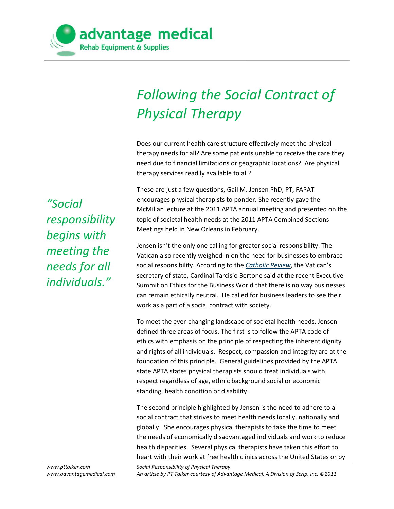

## *Following the Social Contract of Physical Therapy*

Does our current health care structure effectively meet the physical therapy needs for all? Are some patients unable to receive the care they need due to financial limitations or geographic locations? Are physical therapy services readily available to all?

These are just a few questions, Gail M. Jensen PhD, PT, FAPAT encourages physical therapists to ponder. She recently gave the McMillan lecture at the 2011 APTA annual meeting and presented on the topic of societal health needs at the 2011 APTA Combined Sections Meetings held in New Orleans in February.

Jensen isn't the only one calling for greater social responsibility. The Vatican also recently weighed in on the need for businesses to embrace social responsibility. According to the *[Catholic Review](http://www.catholicreview.org/subpages/storyworldnew-new.aspx?action=10155)*, the Vatican's secretary of state, Cardinal Tarcisio Bertone said at the recent Executive Summit on Ethics for the Business World that there is no way businesses can remain ethically neutral. He called for business leaders to see their work as a part of a social contract with society.

To meet the ever-changing landscape of societal health needs, Jensen defined three areas of focus. The first is to follow the APTA code of ethics with emphasis on the principle of respecting the inherent dignity and rights of all individuals. Respect, compassion and integrity are at the foundation of this principle. General guidelines provided by the APTA state APTA states physical therapists should treat individuals with respect regardless of age, ethnic background social or economic standing, health condition or disability.

The second principle highlighted by Jensen is the need to adhere to a social contract that strives to meet health needs locally, nationally and globally. She encourages physical therapists to take the time to meet the needs of economically disadvantaged individuals and work to reduce health disparities. Several physical therapists have taken this effort to heart with their work at free health clinics across the United States or by

*"Social responsibility begins with meeting the needs for all individuals."*

*Social Responsibility of Physical Therapy An article by PT Talker courtesy of Advantage Medical, A Division of Scrip, Inc. ©2011*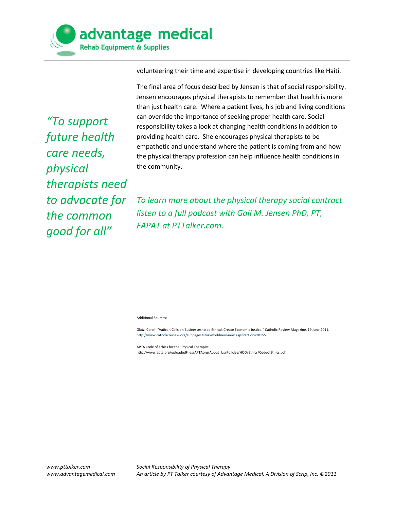

volunteering their time and expertise in developing countries like Haiti.

*"To support future health care needs, physical therapists need to advocate for the common good for all"*

The final area of focus described by Jensen is that of social responsibility. Jensen encourages physical therapists to remember that health is more than just health care. Where a patient lives, his job and living conditions can override the importance of seeking proper health care. Social responsibility takes a look at changing health conditions in addition to providing health care. She encourages physical therapists to be empathetic and understand where the patient is coming from and how the physical therapy profession can help influence health conditions in the community.

*To learn more about the physical therapy social contract listen to a full podcast with Gail M. Jensen PhD, PT, FAPAT at PTTalker.com.*

Additional Sources:

Glatz, Carol. "Vatican Calls on Businesses to be Ethical, Create Economic Justice." Catholic Review Magazine, 19 June 2011. <http://www.catholicreview.org/subpages/storyworldnew-new.aspx?action=10155>

APTA Code of Ethics for the Physical Therapist http://www.apta.org/uploadedFiles/APTAorg/About\_Us/Policies/HOD/Ethics/CodeofEthics.pdf